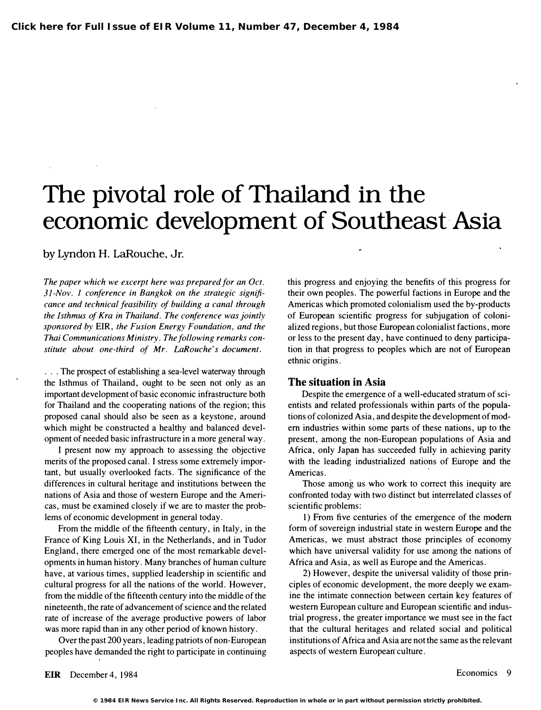## The pivotal role of Thailand in the economic development of Southeast Asia

by Lyndon H. LaRouche, Jr.

The paper which we excerpt here was prepared for an Oct. 31-Nov. I conference in Bangkok on the strategic significance and technical feasibility of building a canal through the Isthmus of Kra in Thailand. The conference was jointly sponsored by EIR, the Fusion Energy Foundation, and the Thai Communications Ministry. The following remarks constitute about one-third of Mr. LaRouche's document.

. . . The prospect of establishing a sea-level waterway through the Isthmus of Thailand, ought to be seen not only as an important development of basic economic infrastructure both for Thailand and the cooperating nations of the region; this proposed canal should also be seen as a keystone, around which might be constructed a healthy and balanced development of needed basic infrastructure in a more general way.

I present now my approach to assessing the objective merits of the proposed canal. I stress some extremely important, but usually overlooked facts. The significance of the differences in cultural heritage and institutions between the nations of Asia and those of western Europe and the Americas, must be examined closely if we are to master the problems of economic development in general today.

From the middle of the fifteenth century, in Italy, in the France of King Louis XI, in the Netherlands, and in Tudor England, there emerged one of the most remarkable developments in human history. Many branches of human culture have, at various times, supplied leadership in scientific and cultural progress for all the nations of the world. However, from the middle of the fifteenth century into the middle of the nineteenth, the rate of advancement of science and the related rate of increase of the average productive powers of labor was more rapid than in any other period of known history.

Over the past 200 years, leading patriots of non-European peoples have demanded the right to participate in continuing

this progress and enjoying the benefits of this progress for their own peoples. The powerful factions in Europe and the Americas which promoted colonialism used the by-products of European scientific progress for subjugation of colonialized regions, but those European colonialist factions, more or less to the present day, have continued to deny participation in that progress to peoples which are not of European ethnic origins .

## The situation in Asia

Despite the emergence of a well-educated stratum of scientists and related professionals within parts of the populations of colonized Asia, and despite the development of modem industries within some parts of these nations, up to the present, among the non-European populations of Asia and Africa, only Japan has succeeded fully in achieving parity with the leading industrialized nations of Europe and the Americas.

Those among us who work to correct this inequity are confronted today with two distinct but interrelated classes of scientific problems:

1) From five centuries of the emergence of the modem form of sovereign industrial state in western Europe and the Americas, we must abstract those principles of economy which have universal validity for use among the nations of Africa and Asia, as well as Europe and the Americas.

2) However, despite the universal validity of those principles of economic development, the more deeply we examine the intimate connection between certain key features of western European culture and European scientific and industrial progress, the greater importance we must see in the fact that the cultural heritages and related social and political institutions of Africa and Asia are not the same as the relevant aspects of western European culture.

EIR December 4, 1984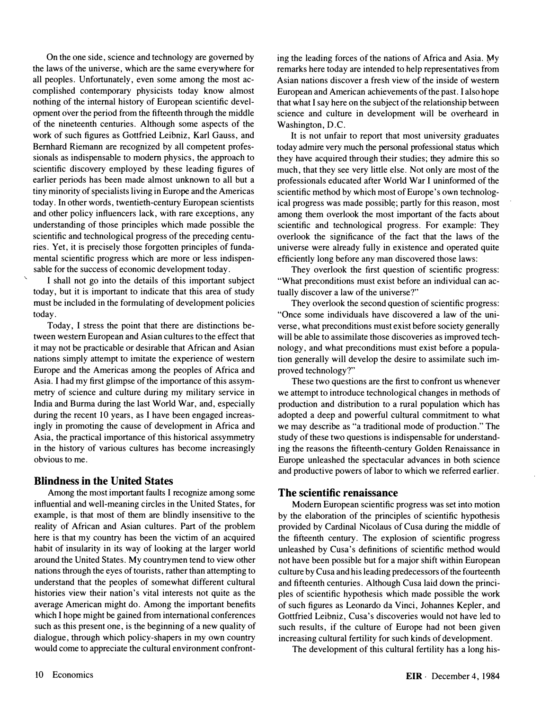On the one side, science and technology are governed by the laws of the universe, which are the same everywhere for all peoples. Unfortunately, even some among the most accomplished contemporary physicists today know almost nothing of the internal history of European scientific development over the period from the fifteenth through the middle of the nineteenth centuries. Although some aspects of the work of such figures as Gottfried Leibniz, Karl Gauss, and Bernhard Riemann are recognized by all competent professionals as indispensable to modem physics, the approach to scientific discovery employed by these leading figures of earlier periods has been made almost unknown to all but a tiny minority of specialists living in Europe and the Americas today. In other words, twentieth-century European scientists and other policy influencers lack, with rare exceptions, any understanding of those principles which made possible the scientific and technological progress of the preceding centuries. Yet, it is precisely those forgotten principles of fundamental scientific progress which are more or less indispensable for the success of economic development today.

I shall not go into the details of this important subject today, but it is important to indicate that this area of study must be included in the formulating of development policies today.

Today, I stress the point that there are distinctions between western European and Asian cultures to the effect that it may not be practicable or desirable that African and Asian nations simply attempt to imitate the experience of western Europe and the Americas among the peoples of Africa and Asia. I had my first glimpse of the importance of this assymmetry of science and culture during my military service in India and Burma during the last World War, and, especially during the recent 10 years, as I have been engaged increasingly in promoting the cause of development in Africa and Asia, the practical importance of this historical assymmetry in the history of various cultures has become increasingly obvious to me.

## Blindness in the United States

Among the most important faults I recognize among some influential and well-meaning circles in the United States, for example, is that most of them are blindly insensitive to the reality of African and Asian cultures. Part of the problem here is that my country has been the victim of an acquired habit of insularity in its way of looking at the larger world around the United States. My countrymen tend to view other nations through the eyes of tourists, rather than attempting to understand that the peoples of somewhat different cultural histories view their nation's vital interests not quite as the average American might do. Among the important benefits which I hope might be gained from international conferences such as this present one, is the beginning of a new quality of dialogue, through which policy-shapers in my own country would come to appreciate the cultural environment confronting the leading forces of the nations of Africa and Asia. My remarks here today are intended to help representatives from Asian nations discover a fresh view of the inside of western European and American achievements of the past. I also hope that what I say here on the subject of the relationship between science and culture in development will be overheard in Washington, D.C.

It is not unfair to report that most university graduates today admire very much the personal professional status which they have acquired through their studies; they admire this so much, that they see very little else. Not only are most of the professionals educated after World War I uninformed of the scientific method by which most of Europe's own technological progress was made possible; partly for this reason, most among them overlook the most important of the facts about scientific and technological progress. For example: They overlook the significance of the fact that the laws of the universe were already fully in existence and operated quite efficiently long before any man discovered those laws:

They overlook the first question of scientific progress: "What preconditions must exist before an individual can actually discover a law of the universe?"

They overlook the second question of scientific progress: "Once some individuals have discovered a law of the universe, what preconditions must exist before society generally will be able to assimilate those discoveries as improved technology, and what preconditions must exist before a population generally will develop the desire to assimilate such improved technology?"

These two questions are the first to confront us whenever we attempt to introduce technological changes in methods of production and distribution to a rural population which has adopted a deep and powerful cultural commitment to what we may describe as "a traditional mode of production." The study of these two questions is indispensable for understanding the reasons the fifteenth-century Golden Renaissance in Europe unleashed the spectacular advances in both science and productive powers of labor to which we referred earlier.

## The scientific renaissance

Modem European scientific progress was set into motion by the elaboration of the principles of scientific hypothesis provided by Cardinal Nicolaus of Cusa during the middle of the fifteenth century. The explosion of scientific progress unleashed by Cusa's definitions of scientific method would not have been possible but for a major shift within European culture by Cusa and his leading predecessors of the fourteenth and fifteenth centuries. Although Cusa laid down the principles of scientific hypothesis which made possible the work of such figures as Leonardo da Vinci, Johannes Kepler, and Gottfried Leibniz, Cusa's discoveries would not have led to such results, if the culture of Europe had not been given increasing cultural fertility for such kinds of development.

The development of this cultural fertility has a long his-